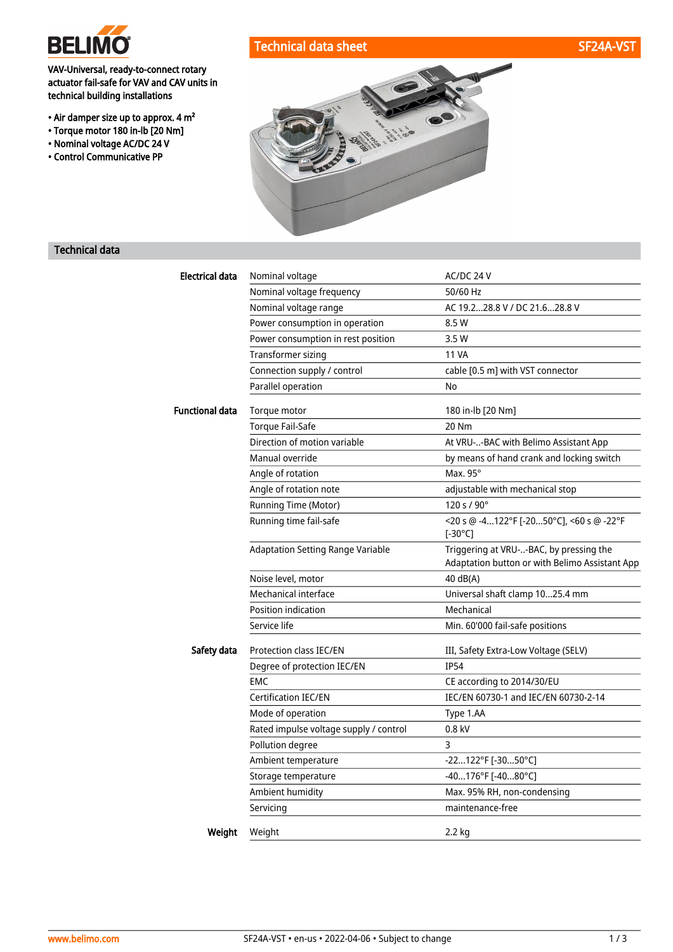

## VAV-Universal, ready-to-connect rotary actuator fail-safe for VAV and CAV units in technical building installations

- Air damper size up to approx. 4 m²
- Torque motor 180 in-lb [20 Nm]
- Nominal voltage AC/DC 24 V
- Control Communicative PP







## Technical data

| Electrical data        | Nominal voltage                          | AC/DC 24 V                                                                                |  |
|------------------------|------------------------------------------|-------------------------------------------------------------------------------------------|--|
|                        | Nominal voltage frequency                | 50/60 Hz                                                                                  |  |
|                        | Nominal voltage range                    | AC 19.228.8 V / DC 21.628.8 V                                                             |  |
|                        | Power consumption in operation           | 8.5 W                                                                                     |  |
|                        | Power consumption in rest position       | 3.5 W                                                                                     |  |
|                        | <b>Transformer sizing</b>                | <b>11 VA</b>                                                                              |  |
|                        | Connection supply / control              | cable [0.5 m] with VST connector                                                          |  |
|                        | Parallel operation                       | No                                                                                        |  |
| <b>Functional data</b> | Torque motor                             | 180 in-lb [20 Nm]                                                                         |  |
|                        | <b>Torque Fail-Safe</b>                  | 20 Nm                                                                                     |  |
|                        | Direction of motion variable             | At VRU--BAC with Belimo Assistant App                                                     |  |
|                        | Manual override                          | by means of hand crank and locking switch                                                 |  |
|                        | Angle of rotation                        | Max. $95^\circ$                                                                           |  |
|                        | Angle of rotation note                   | adjustable with mechanical stop                                                           |  |
|                        | Running Time (Motor)                     | $120 s / 90^{\circ}$                                                                      |  |
|                        | Running time fail-safe                   | <20 s @ -4122°F [-2050°C], <60 s @ -22°F<br>[-30 $^{\circ}$ C]                            |  |
|                        | <b>Adaptation Setting Range Variable</b> | Triggering at VRU--BAC, by pressing the<br>Adaptation button or with Belimo Assistant App |  |
|                        | Noise level, motor                       | 40 dB(A)                                                                                  |  |
|                        | Mechanical interface                     | Universal shaft clamp 1025.4 mm                                                           |  |
|                        | Position indication                      | Mechanical                                                                                |  |
|                        | Service life                             | Min. 60'000 fail-safe positions                                                           |  |
| Safety data            | Protection class IEC/EN                  | III, Safety Extra-Low Voltage (SELV)                                                      |  |
|                        | Degree of protection IEC/EN              | <b>IP54</b>                                                                               |  |
|                        | <b>EMC</b>                               | CE according to 2014/30/EU                                                                |  |
|                        | Certification IEC/EN                     | IEC/EN 60730-1 and IEC/EN 60730-2-14                                                      |  |
|                        | Mode of operation                        | Type 1.AA                                                                                 |  |
|                        | Rated impulse voltage supply / control   | 0.8 kV                                                                                    |  |
|                        | Pollution degree                         | 3                                                                                         |  |
|                        | Ambient temperature                      | -22122°F [-3050°C]                                                                        |  |
|                        | Storage temperature                      | -40176°F [-4080°C]                                                                        |  |
|                        | Ambient humidity                         | Max. 95% RH, non-condensing                                                               |  |
|                        | Servicing                                | maintenance-free                                                                          |  |
| Weight                 | Weight                                   | $2.2$ kg                                                                                  |  |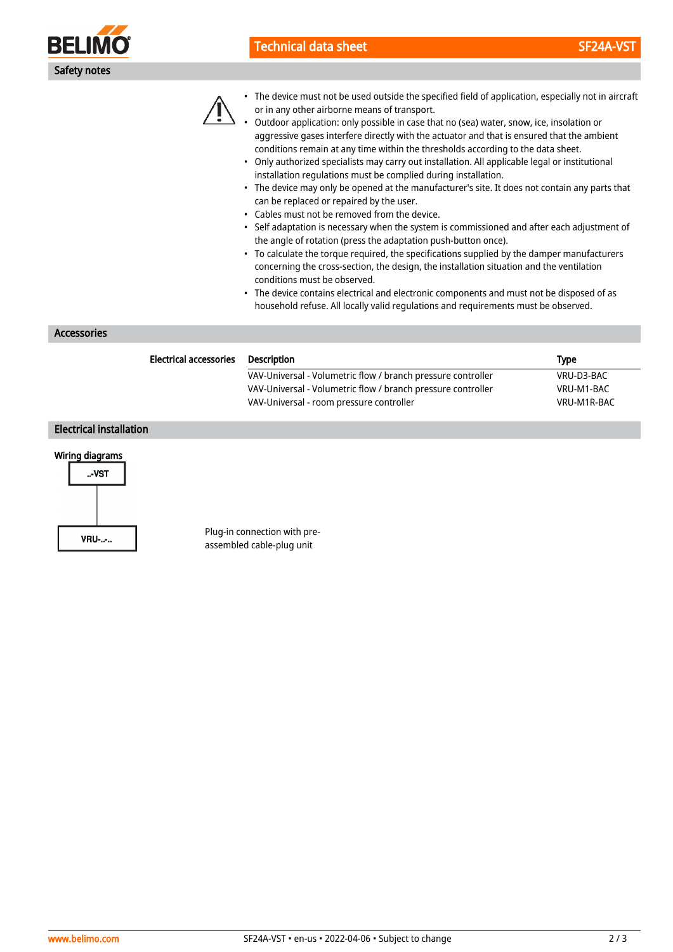

# Technical data sheet SF24A-VST



• The device must not be used outside the specified field of application, especially not in aircraft or in any other airborne means of transport.

• Outdoor application: only possible in case that no (sea) water, snow, ice, insolation or aggressive gases interfere directly with the actuator and that is ensured that the ambient conditions remain at any time within the thresholds according to the data sheet.

- Only authorized specialists may carry out installation. All applicable legal or institutional installation regulations must be complied during installation.
- The device may only be opened at the manufacturer's site. It does not contain any parts that can be replaced or repaired by the user.
- Cables must not be removed from the device.
- Self adaptation is necessary when the system is commissioned and after each adjustment of the angle of rotation (press the adaptation push-button once).
- To calculate the torque required, the specifications supplied by the damper manufacturers concerning the cross-section, the design, the installation situation and the ventilation conditions must be observed.
- The device contains electrical and electronic components and must not be disposed of as household refuse. All locally valid regulations and requirements must be observed.

Accessories

| <b>Electrical accessories</b> | Description                                                  | <b>Type</b> |
|-------------------------------|--------------------------------------------------------------|-------------|
|                               | VAV-Universal - Volumetric flow / branch pressure controller | VRU-D3-BAC  |
|                               | VAV-Universal - Volumetric flow / branch pressure controller | VRU-M1-BAC  |
|                               | VAV-Universal - room pressure controller                     | VRU-M1R-BAC |
|                               |                                                              |             |

## Electrical installation

## Wiring diagrams



Plug-in connection with preassembled cable-plug unit